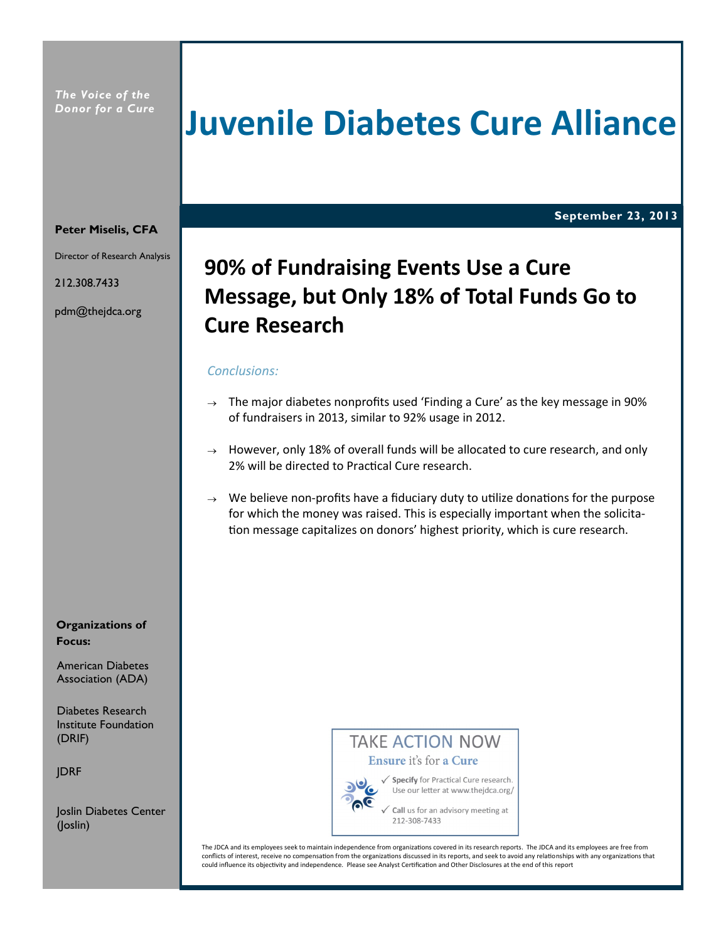*The Voice of the Donor for a Cure*

## **Juvenile Diabetes Cure Alliance**

**September 23, 2013**

#### **Peter Miselis, CFA**

Director of Research Analysis

212.308.7433

pdm@thejdca.org

### **90% of Fundraising Events Use a Cure Message, but Only 18% of Total Funds Go to Cure Research**

#### *Conclusions:*

- $\rightarrow$  The major diabetes nonprofits used 'Finding a Cure' as the key message in 90% of fundraisers in 2013, similar to 92% usage in 2012.
- $\rightarrow$  However, only 18% of overall funds will be allocated to cure research, and only 2% will be directed to Practical Cure research.
- $\rightarrow$  We believe non-profits have a fiduciary duty to utilize donations for the purpose for which the money was raised. This is especially important when the solicitation message capitalizes on donors' highest priority, which is cure research.

#### **Organizations of Focus:**

American Diabetes Association (ADA)

Diabetes Research Institute Foundation (DRIF)

JDRF

Joslin Diabetes Center (Joslin)

### **TAKE ACTION NOW** Ensure it's for a Cure



√ Specify for Practical Cure research. Use our letter at www.thejdca.org/

Call us for an advisory meeting at 212-308-7433

The JDCA and its employees seek to maintain independence from organizations covered in its research reports. The JDCA and its employees are free from conflicts of interest, receive no compensation from the organizations discussed in its reports, and seek to avoid any relationships with any organizations that could influence its objectivity and independence. Please see Analyst Certification and Other Disclosures at the end of this report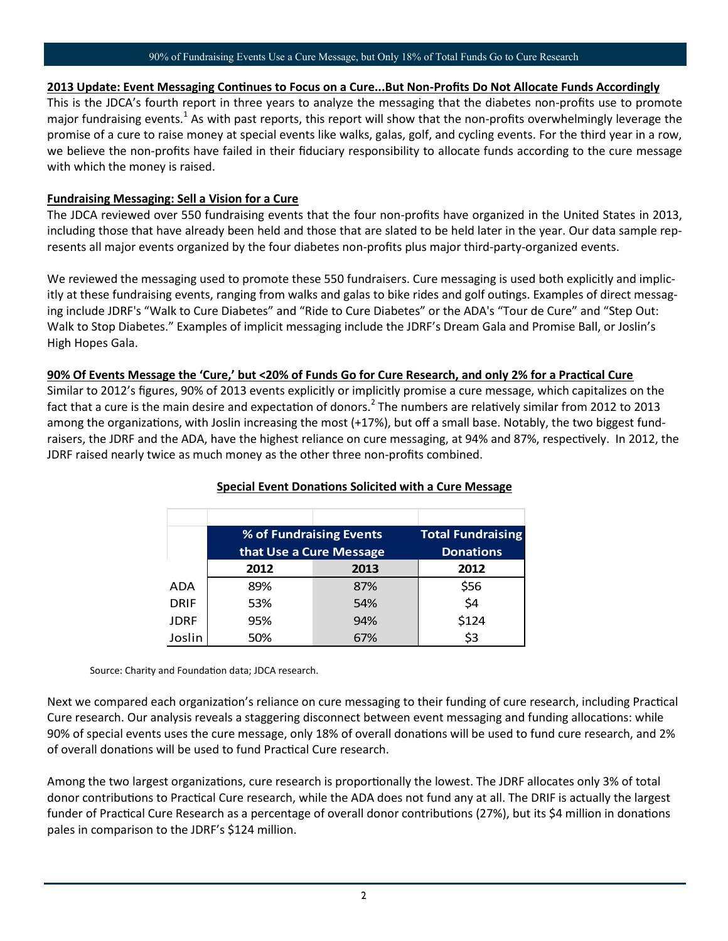#### 90% of Fundraising Events Use a Cure Message, but Only 18% of Total Funds Go to Cure Research

#### **2013 Update: Event Messaging Continues to Focus on a Cure...But Non-Profits Do Not Allocate Funds Accordingly**

This is the JDCA's fourth report in three years to analyze the messaging that the diabetes non-profits use to promote major fundraising events.<sup>1</sup> As with past reports, this report will show that the non-profits overwhelmingly leverage the promise of a cure to raise money at special events like walks, galas, golf, and cycling events. For the third year in a row, we believe the non-profits have failed in their fiduciary responsibility to allocate funds according to the cure message with which the money is raised.

#### **Fundraising Messaging: Sell a Vision for a Cure**

The JDCA reviewed over 550 fundraising events that the four non-profits have organized in the United States in 2013, including those that have already been held and those that are slated to be held later in the year. Our data sample represents all major events organized by the four diabetes non-profits plus major third-party-organized events.

We reviewed the messaging used to promote these 550 fundraisers. Cure messaging is used both explicitly and implicitly at these fundraising events, ranging from walks and galas to bike rides and golf outings. Examples of direct messaging include JDRF's "Walk to Cure Diabetes" and "Ride to Cure Diabetes" or the ADA's "Tour de Cure" and "Step Out: Walk to Stop Diabetes." Examples of implicit messaging include the JDRF's Dream Gala and Promise Ball, or Joslin's High Hopes Gala.

#### **90% Of Events Message the 'Cure,' but <20% of Funds Go for Cure Research, and only 2% for a Practical Cure**

Similar to 2012's figures, 90% of 2013 events explicitly or implicitly promise a cure message, which capitalizes on the fact that a cure is the main desire and expectation of donors.<sup>2</sup> The numbers are relatively similar from 2012 to 2013 among the organizations, with Joslin increasing the most (+17%), but off a small base. Notably, the two biggest fundraisers, the JDRF and the ADA, have the highest reliance on cure messaging, at 94% and 87%, respectively. In 2012, the JDRF raised nearly twice as much money as the other three non-profits combined.

|             | % of Fundraising Events |      | <b>Total Fundraising</b> |
|-------------|-------------------------|------|--------------------------|
|             | that Use a Cure Message |      | <b>Donations</b>         |
|             | 2012                    | 2013 | 2012                     |
| ADA         | 89%                     | 87%  | \$56                     |
| <b>DRIF</b> | 53%                     | 54%  | \$4                      |
| <b>JDRF</b> | 95%                     | 94%  | \$124                    |
| Joslin      | 50%                     | 67%  | \$3                      |

#### **Special Event Donations Solicited with a Cure Message**

Source: Charity and Foundation data; JDCA research.

Next we compared each organization's reliance on cure messaging to their funding of cure research, including Practical Cure research. Our analysis reveals a staggering disconnect between event messaging and funding allocations: while 90% of special events uses the cure message, only 18% of overall donations will be used to fund cure research, and 2% of overall donations will be used to fund Practical Cure research.

Among the two largest organizations, cure research is proportionally the lowest. The JDRF allocates only 3% of total donor contributions to Practical Cure research, while the ADA does not fund any at all. The DRIF is actually the largest funder of Practical Cure Research as a percentage of overall donor contributions (27%), but its \$4 million in donations pales in comparison to the JDRF's \$124 million.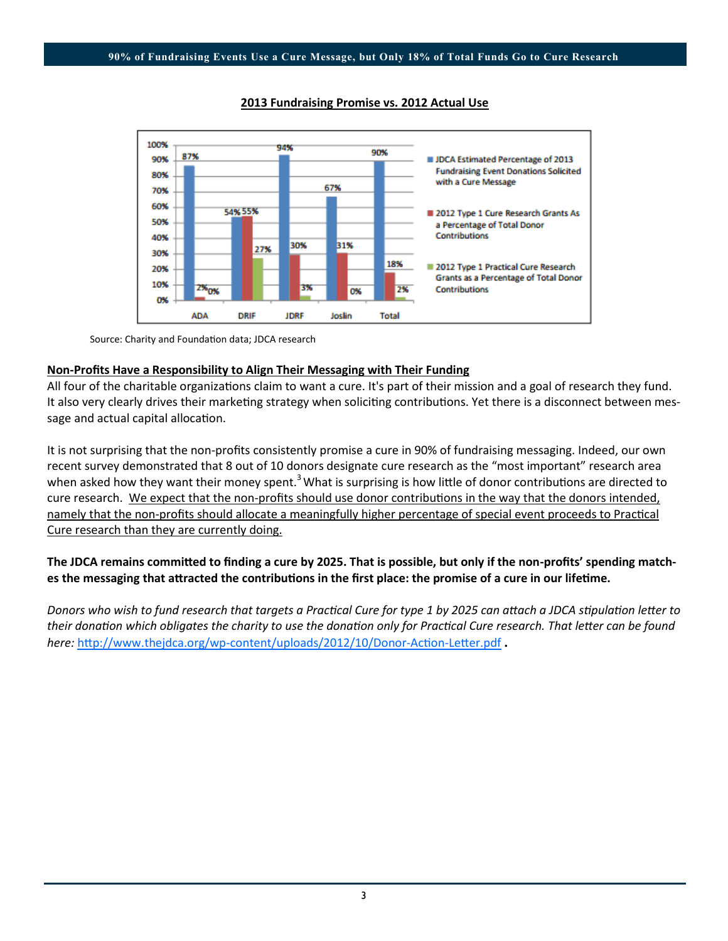

#### **2013 Fundraising Promise vs. 2012 Actual Use**

Source: Charity and Foundation data; JDCA research

#### **Non-Profits Have a Responsibility to Align Their Messaging with Their Funding**

All four of the charitable organizations claim to want a cure. It's part of their mission and a goal of research they fund. It also very clearly drives their marketing strategy when soliciting contributions. Yet there is a disconnect between message and actual capital allocation.

It is not surprising that the non-profits consistently promise a cure in 90% of fundraising messaging. Indeed, our own recent survey demonstrated that 8 out of 10 donors designate cure research as the "most important" research area when asked how they want their money spent.<sup>3</sup> What is surprising is how little of donor contributions are directed to cure research. We expect that the non-profits should use donor contributions in the way that the donors intended, namely that the non-profits should allocate a meaningfully higher percentage of special event proceeds to Practical Cure research than they are currently doing.

#### **The JDCA remains committed to finding a cure by 2025. That is possible, but only if the non-profits' spending matches the messaging that attracted the contributions in the first place: the promise of a cure in our lifetime.**

*Donors who wish to fund research that targets a Practical Cure for type 1 by 2025 can attach a JDCA stipulation letter to their donation which obligates the charity to use the donation only for Practical Cure research. That letter can be found here:* http://www.thejdca.org/wp-[content/uploads/2012/10/Donor](http://www.thejdca.org/wp-content/uploads/2012/10/Donor-Action-Letter.pdf)-Action-Letter.pdf **.**